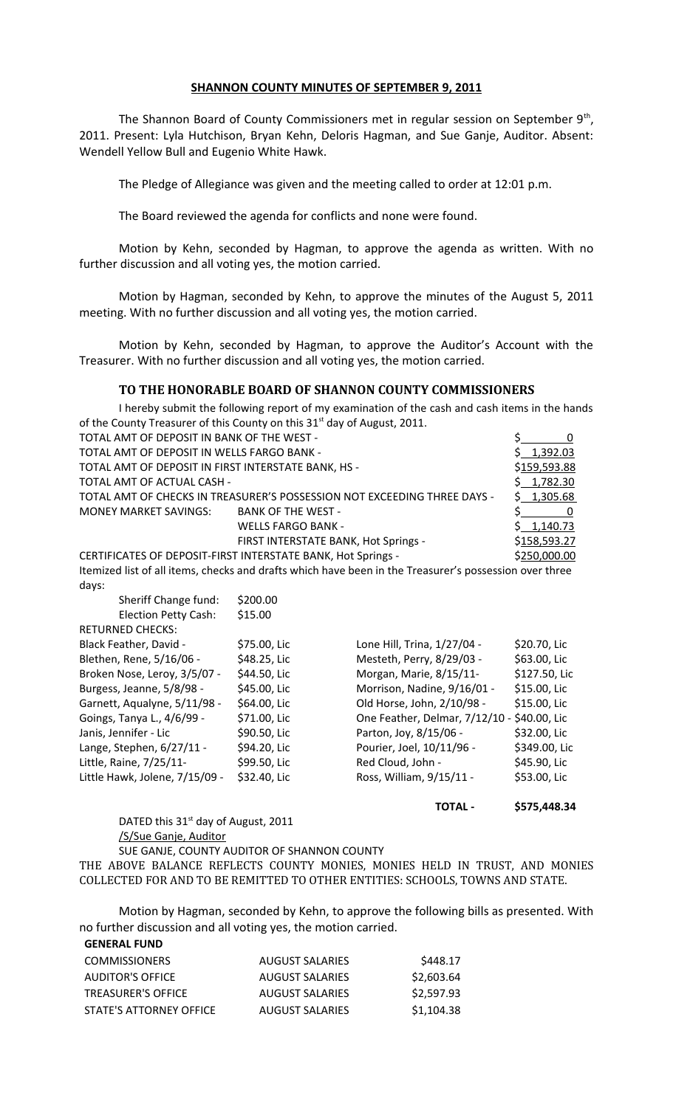## **SHANNON COUNTY MINUTES OF SEPTEMBER 9, 2011**

The Shannon Board of County Commissioners met in regular session on September  $9<sup>th</sup>$ , 2011. Present: Lyla Hutchison, Bryan Kehn, Deloris Hagman, and Sue Ganje, Auditor. Absent: Wendell Yellow Bull and Eugenio White Hawk.

The Pledge of Allegiance was given and the meeting called to order at 12:01 p.m.

The Board reviewed the agenda for conflicts and none were found.

Motion by Kehn, seconded by Hagman, to approve the agenda as written. With no further discussion and all voting yes, the motion carried.

Motion by Hagman, seconded by Kehn, to approve the minutes of the August 5, 2011 meeting. With no further discussion and all voting yes, the motion carried.

Motion by Kehn, seconded by Hagman, to approve the Auditor's Account with the Treasurer. With no further discussion and all voting yes, the motion carried.

## **TO THE HONORABLE BOARD OF SHANNON COUNTY COMMISSIONERS**

I hereby submit the following report of my examination of the cash and cash items in the hands of the County Treasurer of this County on this 31<sup>st</sup> day of August, 2011.

| TOTAL AMT OF DEPOSIT IN BANK OF THE WEST -                                                             |                                      |                                             | \$.<br>0       |
|--------------------------------------------------------------------------------------------------------|--------------------------------------|---------------------------------------------|----------------|
| TOTAL AMT OF DEPOSIT IN WELLS FARGO BANK -                                                             |                                      |                                             | Ś.<br>1,392.03 |
| TOTAL AMT OF DEPOSIT IN FIRST INTERSTATE BANK, HS -                                                    |                                      |                                             | \$159,593.88   |
| TOTAL AMT OF ACTUAL CASH -                                                                             |                                      |                                             | \$1,782.30     |
| TOTAL AMT OF CHECKS IN TREASURER'S POSSESSION NOT EXCEEDING THREE DAYS -                               |                                      |                                             | 1,305.68<br>S. |
| <b>MONEY MARKET SAVINGS:</b>                                                                           | <b>BANK OF THE WEST -</b>            |                                             | \$.<br>0       |
|                                                                                                        | <b>WELLS FARGO BANK -</b>            |                                             | \$1,140.73     |
|                                                                                                        | FIRST INTERSTATE BANK, Hot Springs - |                                             | \$158,593.27   |
| CERTIFICATES OF DEPOSIT-FIRST INTERSTATE BANK, Hot Springs -                                           |                                      |                                             | \$250,000.00   |
| Itemized list of all items, checks and drafts which have been in the Treasurer's possession over three |                                      |                                             |                |
| days:                                                                                                  |                                      |                                             |                |
| Sheriff Change fund:                                                                                   | \$200.00                             |                                             |                |
| Election Petty Cash:                                                                                   | \$15.00                              |                                             |                |
| <b>RETURNED CHECKS:</b>                                                                                |                                      |                                             |                |
| Black Feather, David -                                                                                 | \$75.00, Lic                         | Lone Hill, Trina, 1/27/04 -                 | \$20.70, Lic   |
| Blethen, Rene, 5/16/06 -                                                                               | \$48.25, Lic                         | Mesteth, Perry, 8/29/03 -                   | \$63.00, Lic   |
| Broken Nose, Leroy, 3/5/07 -                                                                           | \$44.50, Lic                         | Morgan, Marie, 8/15/11-                     | \$127.50, Lic  |
| Burgess, Jeanne, 5/8/98 -                                                                              | \$45.00, Lic                         | Morrison, Nadine, 9/16/01 -                 | \$15.00, Lic   |
| Garnett, Aqualyne, 5/11/98 -                                                                           | \$64.00, Lic                         | Old Horse, John, 2/10/98 -                  | \$15.00, Lic   |
| Goings, Tanya L., 4/6/99 -                                                                             | \$71.00, Lic                         | One Feather, Delmar, 7/12/10 - \$40.00, Lic |                |
| Janis, Jennifer - Lic                                                                                  | \$90.50, Lic                         | Parton, Joy, 8/15/06 -                      | \$32.00, Lic   |
| Lange, Stephen, 6/27/11 -                                                                              | \$94.20, Lic                         | Pourier, Joel, 10/11/96 -                   | \$349.00, Lic  |
| Little, Raine, 7/25/11-                                                                                | \$99.50, Lic                         | Red Cloud, John -                           | \$45.90, Lic   |
| Little Hawk, Jolene, 7/15/09 -                                                                         | \$32.40, Lic                         | Ross, William, 9/15/11 -                    | \$53.00, Lic   |

**TOTAL - \$575,448.34** DATED this  $31<sup>st</sup>$  day of August, 2011 /S/Sue Ganje, Auditor SUE GANJE, COUNTY AUDITOR OF SHANNON COUNTY THE ABOVE BALANCE REFLECTS COUNTY MONIES, MONIES HELD IN TRUST, AND MONIES COLLECTED FOR AND TO BE REMITTED TO OTHER ENTITIES: SCHOOLS, TOWNS AND STATE.

Motion by Hagman, seconded by Kehn, to approve the following bills as presented. With

no further discussion and all voting yes, the motion carried.

| <b>GENERAL FUND</b>       |                        |            |
|---------------------------|------------------------|------------|
| <b>COMMISSIONERS</b>      | <b>AUGUST SALARIES</b> | \$448.17   |
| <b>AUDITOR'S OFFICE</b>   | <b>AUGUST SALARIES</b> | \$2,603.64 |
| <b>TREASURER'S OFFICE</b> | <b>AUGUST SALARIES</b> | \$2,597.93 |
| STATE'S ATTORNEY OFFICE   | <b>AUGUST SALARIES</b> | \$1,104.38 |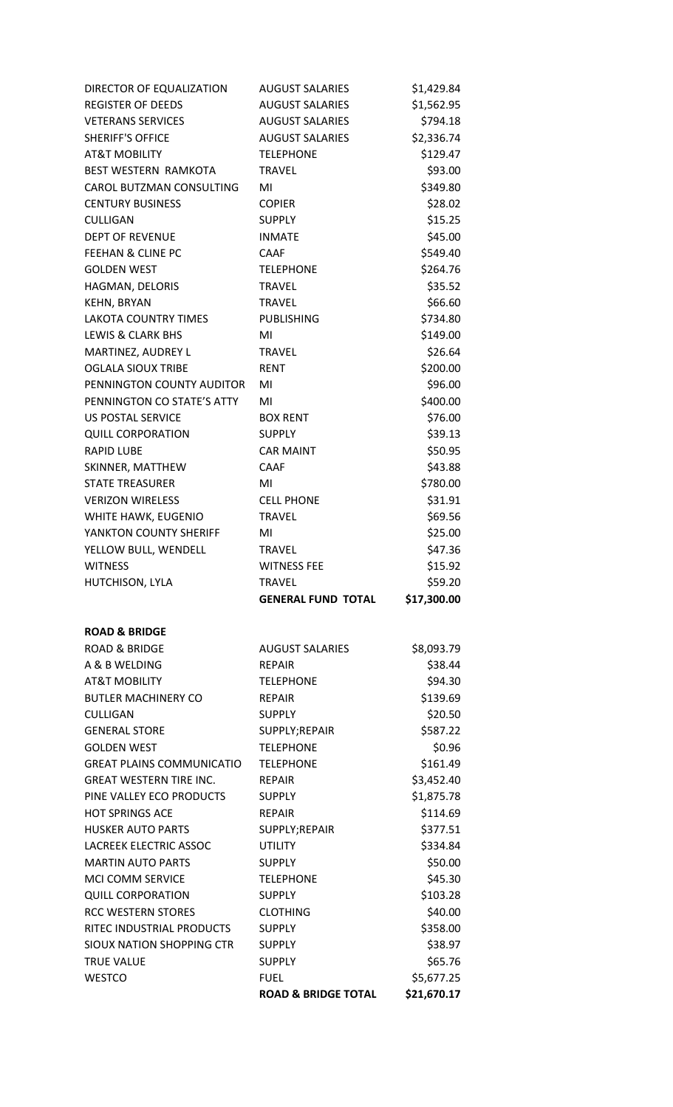| DIRECTOR OF EQUALIZATION         | <b>AUGUST SALARIES</b>         | \$1,429.84  |
|----------------------------------|--------------------------------|-------------|
| <b>REGISTER OF DEEDS</b>         | <b>AUGUST SALARIES</b>         | \$1,562.95  |
| <b>VETERANS SERVICES</b>         | <b>AUGUST SALARIES</b>         | \$794.18    |
| <b>SHERIFF'S OFFICE</b>          | <b>AUGUST SALARIES</b>         | \$2,336.74  |
| <b>AT&amp;T MOBILITY</b>         | <b>TELEPHONE</b>               | \$129.47    |
| <b>BEST WESTERN RAMKOTA</b>      | <b>TRAVEL</b>                  | \$93.00     |
| CAROL BUTZMAN CONSULTING         | MI                             | \$349.80    |
| <b>CENTURY BUSINESS</b>          | <b>COPIER</b>                  | \$28.02     |
| <b>CULLIGAN</b>                  | <b>SUPPLY</b>                  | \$15.25     |
| <b>DEPT OF REVENUE</b>           | <b>INMATE</b>                  | \$45.00     |
| FEEHAN & CLINE PC                | <b>CAAF</b>                    | \$549.40    |
| <b>GOLDEN WEST</b>               | <b>TELEPHONE</b>               | \$264.76    |
| HAGMAN, DELORIS                  | <b>TRAVEL</b>                  | \$35.52     |
| <b>KEHN, BRYAN</b>               | <b>TRAVEL</b>                  | \$66.60     |
| <b>LAKOTA COUNTRY TIMES</b>      | <b>PUBLISHING</b>              | \$734.80    |
| <b>LEWIS &amp; CLARK BHS</b>     | MI                             | \$149.00    |
| MARTINEZ, AUDREY L               | <b>TRAVEL</b>                  | \$26.64     |
| <b>OGLALA SIOUX TRIBE</b>        | <b>RENT</b>                    | \$200.00    |
| PENNINGTON COUNTY AUDITOR        | MI                             | \$96.00     |
| PENNINGTON CO STATE'S ATTY       | MI                             | \$400.00    |
| <b>US POSTAL SERVICE</b>         | <b>BOX RENT</b>                | \$76.00     |
| <b>QUILL CORPORATION</b>         | <b>SUPPLY</b>                  | \$39.13     |
| <b>RAPID LUBE</b>                | <b>CAR MAINT</b>               | \$50.95     |
| SKINNER, MATTHEW                 | <b>CAAF</b>                    | \$43.88     |
| <b>STATE TREASURER</b>           | MI                             | \$780.00    |
| <b>VERIZON WIRELESS</b>          | <b>CELL PHONE</b>              | \$31.91     |
| WHITE HAWK, EUGENIO              | <b>TRAVEL</b>                  | \$69.56     |
| YANKTON COUNTY SHERIFF           | MI                             | \$25.00     |
| YELLOW BULL, WENDELL             | <b>TRAVEL</b>                  | \$47.36     |
| <b>WITNESS</b>                   | <b>WITNESS FEE</b>             | \$15.92     |
| HUTCHISON, LYLA                  | <b>TRAVEL</b>                  | \$59.20     |
|                                  | <b>GENERAL FUND TOTAL</b>      | \$17,300.00 |
| <b>ROAD &amp; BRIDGE</b>         |                                |             |
| <b>ROAD &amp; BRIDGE</b>         | <b>AUGUST SALARIES</b>         | \$8,093.79  |
| A & B WELDING                    | <b>REPAIR</b>                  | \$38.44     |
| <b>AT&amp;T MOBILITY</b>         | <b>TELEPHONE</b>               | \$94.30     |
| <b>BUTLER MACHINERY CO</b>       | <b>REPAIR</b>                  | \$139.69    |
| <b>CULLIGAN</b>                  | <b>SUPPLY</b>                  | \$20.50     |
| <b>GENERAL STORE</b>             | SUPPLY;REPAIR                  | \$587.22    |
| <b>GOLDEN WEST</b>               | <b>TELEPHONE</b>               | \$0.96      |
| <b>GREAT PLAINS COMMUNICATIO</b> | <b>TELEPHONE</b>               | \$161.49    |
| <b>GREAT WESTERN TIRE INC.</b>   | <b>REPAIR</b>                  | \$3,452.40  |
| PINE VALLEY ECO PRODUCTS         | <b>SUPPLY</b>                  | \$1,875.78  |
| <b>HOT SPRINGS ACE</b>           | <b>REPAIR</b>                  | \$114.69    |
| <b>HUSKER AUTO PARTS</b>         | SUPPLY;REPAIR                  | \$377.51    |
| LACREEK ELECTRIC ASSOC           | <b>UTILITY</b>                 | \$334.84    |
| <b>MARTIN AUTO PARTS</b>         | <b>SUPPLY</b>                  | \$50.00     |
| <b>MCI COMM SERVICE</b>          | <b>TELEPHONE</b>               | \$45.30     |
| <b>QUILL CORPORATION</b>         | <b>SUPPLY</b>                  | \$103.28    |
| <b>RCC WESTERN STORES</b>        | <b>CLOTHING</b>                | \$40.00     |
| RITEC INDUSTRIAL PRODUCTS        | <b>SUPPLY</b>                  | \$358.00    |
| SIOUX NATION SHOPPING CTR        | <b>SUPPLY</b>                  | \$38.97     |
| <b>TRUE VALUE</b>                | <b>SUPPLY</b>                  | \$65.76     |
| <b>WESTCO</b>                    | <b>FUEL</b>                    | \$5,677.25  |
|                                  | <b>ROAD &amp; BRIDGE TOTAL</b> | \$21,670.17 |
|                                  |                                |             |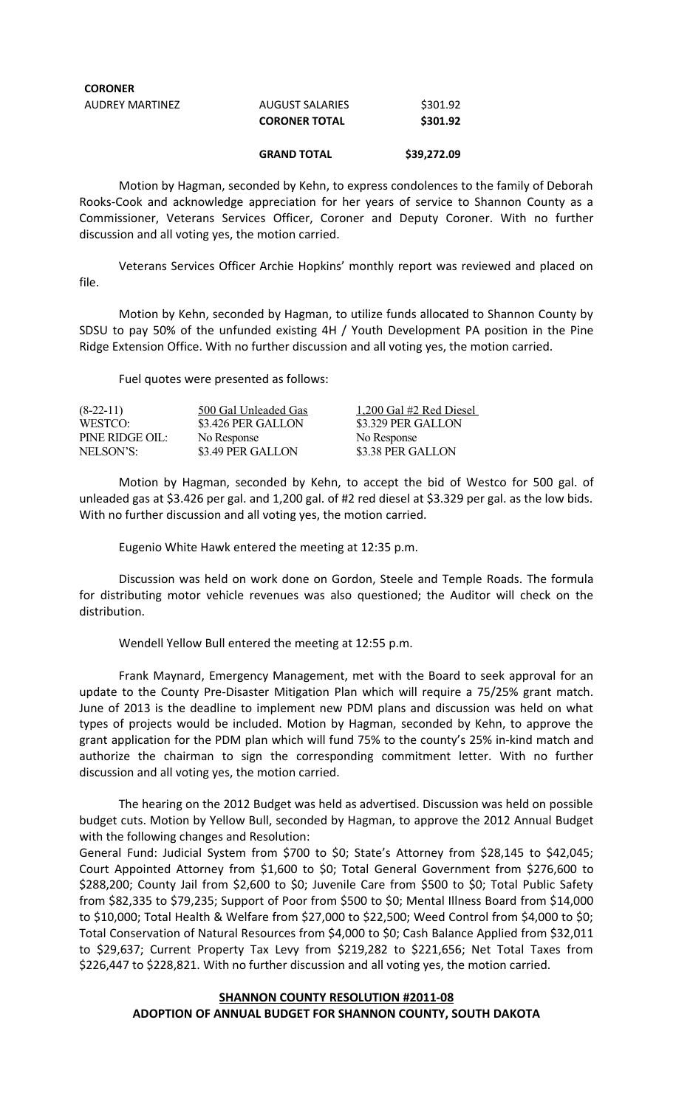| <b>CORONER</b>  |                      |          |
|-----------------|----------------------|----------|
| AUDREY MARTINEZ | AUGUST SALARIES      | \$301.92 |
|                 | <b>CORONER TOTAL</b> | \$301.92 |
|                 |                      |          |

## **GRAND TOTAL \$39,272.09**

Motion by Hagman, seconded by Kehn, to express condolences to the family of Deborah Rooks-Cook and acknowledge appreciation for her years of service to Shannon County as a Commissioner, Veterans Services Officer, Coroner and Deputy Coroner. With no further discussion and all voting yes, the motion carried.

Veterans Services Officer Archie Hopkins' monthly report was reviewed and placed on file.

Motion by Kehn, seconded by Hagman, to utilize funds allocated to Shannon County by SDSU to pay 50% of the unfunded existing 4H / Youth Development PA position in the Pine Ridge Extension Office. With no further discussion and all voting yes, the motion carried.

Fuel quotes were presented as follows:

| $(8-22-11)$     | 500 Gal Unleaded Gas | 1,200 Gal #2 Red Diesel |
|-----------------|----------------------|-------------------------|
| WESTCO:         | \$3.426 PER GALLON   | \$3.329 PER GALLON      |
| PINE RIDGE OIL: | No Response          | No Response             |
| NELSON'S:       | \$3.49 PER GALLON    | \$3.38 PER GALLON       |

Motion by Hagman, seconded by Kehn, to accept the bid of Westco for 500 gal. of unleaded gas at \$3.426 per gal. and 1,200 gal. of #2 red diesel at \$3.329 per gal. as the low bids. With no further discussion and all voting yes, the motion carried.

Eugenio White Hawk entered the meeting at 12:35 p.m.

Discussion was held on work done on Gordon, Steele and Temple Roads. The formula for distributing motor vehicle revenues was also questioned; the Auditor will check on the distribution.

Wendell Yellow Bull entered the meeting at 12:55 p.m.

Frank Maynard, Emergency Management, met with the Board to seek approval for an update to the County Pre-Disaster Mitigation Plan which will require a 75/25% grant match. June of 2013 is the deadline to implement new PDM plans and discussion was held on what types of projects would be included. Motion by Hagman, seconded by Kehn, to approve the grant application for the PDM plan which will fund 75% to the county's 25% in-kind match and authorize the chairman to sign the corresponding commitment letter. With no further discussion and all voting yes, the motion carried.

The hearing on the 2012 Budget was held as advertised. Discussion was held on possible budget cuts. Motion by Yellow Bull, seconded by Hagman, to approve the 2012 Annual Budget with the following changes and Resolution:

General Fund: Judicial System from \$700 to \$0; State's Attorney from \$28,145 to \$42,045; Court Appointed Attorney from \$1,600 to \$0; Total General Government from \$276,600 to \$288,200; County Jail from \$2,600 to \$0; Juvenile Care from \$500 to \$0; Total Public Safety from \$82,335 to \$79,235; Support of Poor from \$500 to \$0; Mental Illness Board from \$14,000 to \$10,000; Total Health & Welfare from \$27,000 to \$22,500; Weed Control from \$4,000 to \$0; Total Conservation of Natural Resources from \$4,000 to \$0; Cash Balance Applied from \$32,011 to \$29,637; Current Property Tax Levy from \$219,282 to \$221,656; Net Total Taxes from \$226,447 to \$228,821. With no further discussion and all voting yes, the motion carried.

## **SHANNON COUNTY RESOLUTION #2011-08 ADOPTION OF ANNUAL BUDGET FOR SHANNON COUNTY, SOUTH DAKOTA**